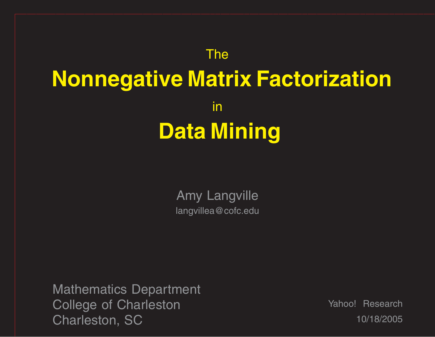### The **Nonnegative Matrix Factorization** in **Data Mining**

Amy Langville langvillea@cofc.edu

Mathematics Department College of Charleston Charleston, SC

Yahoo! Research 10/18/2005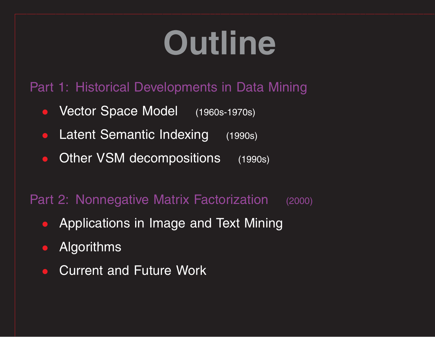# **Outline**

#### Part 1: Historical Developments in Data Mining

- $\bullet$ Vector Space Model (1960s-1970s)
- $\bullet$ Latent Semantic Indexing (1990s)
- $\bullet$ Other VSM decompositions (1990s)

#### Part 2: Nonnegative Matrix Factorization (2000)

- Applications in Image and Text Mining
- $\bullet$ Algorithms
- $\bullet$ **Current and Future Work**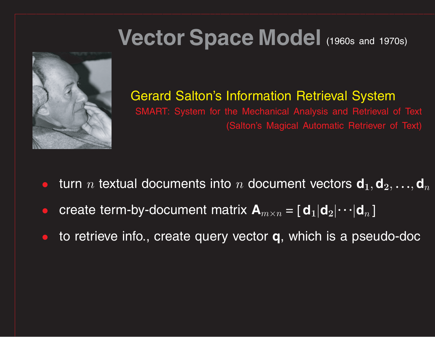### **Vector Space Model** (1960s and 1970s)



#### Gerard Salton's Information Retrieval System

SMART: System for the Mechanical Analysis and Retrieval of Text (Salton's Magical Automatic Retriever of Text)

- $\bullet$ • turn  $n$  textual documents into  $n$  document vectors  $\mathsf{d}_1, \mathsf{d}_2, \ldots, \mathsf{d}_n$
- $\bullet$ **c** create term-by-document matrix  $\mathbf{A}_{m \times n} = [\mathbf{d}_1 | \mathbf{d}_2 | \cdots | \mathbf{d}_n]$
- $\bullet$ to retrieve info., create query vector **q**, which is <sup>a</sup> pseudo-doc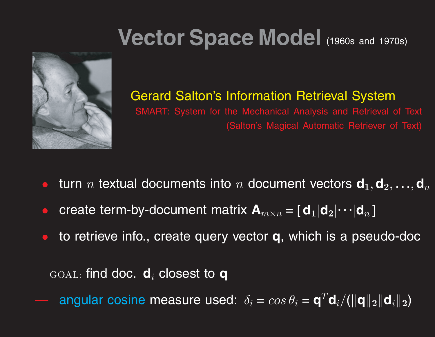### **Vector Space Model** (1960s and 1970s)



#### Gerard Salton's Information Retrieval System

SMART: System for the Mechanical Analysis and Retrieval of Text (Salton's Magical Automatic Retriever of Text)

- $\bullet$ • turn  $n$  textual documents into  $n$  document vectors  $\mathsf{d}_1, \mathsf{d}_2, \ldots, \mathsf{d}_n$
- $\bullet$ **c** create term-by-document matrix  $\mathbf{A}_{m \times n} = [\mathbf{d}_1 | \mathbf{d}_2 | \cdots | \mathbf{d}_n]$
- $\bullet$ to retrieve info., create query vector **q**, which is <sup>a</sup> pseudo-doc

GOAL: find doc. **d***<sup>i</sup>* closest to **q**

 $\blacktriangleright$  angular cosine measure used:  $\delta_i = cos \theta_i = \mathbf{q}^T \mathbf{d}_i / (\|\mathbf{q}\|_2 \|\mathbf{d}_i\|_2)$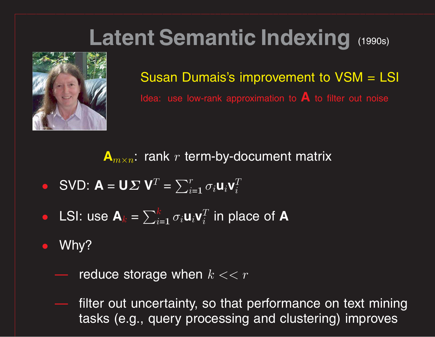### **Latent Semantic Indexing** (1990s)



Susan Dumais's improvement to VSM <sup>=</sup> LSI Idea: use low-rank approximation to **A** to filter out noise

 $\mathbf{A}_{m \times n}$ : rank  $r$  term-by-document matrix

- SVD:  $\mathbf{A} = \mathbf{U} \mathbf{\Sigma} \mathbf{V}^T = \sum_i^r$  $\sum_{i=1}^r \sigma_i \mathsf{u}_i \mathsf{v}_i^T$ *i*
- LSI: use  $\mathbf{A}_k = \sum_{i=1}^k k_i$  $\frac{k}{i=1}$   $\sigma_i$ **u** $_i$ **v** $_i^T$  in place of **A**
- $\bullet$  Why?
	- reduce storage when *k << <sup>r</sup>*
	- filter out uncertainty, so that performance on text mining tasks (e.g., query processing and clustering) improves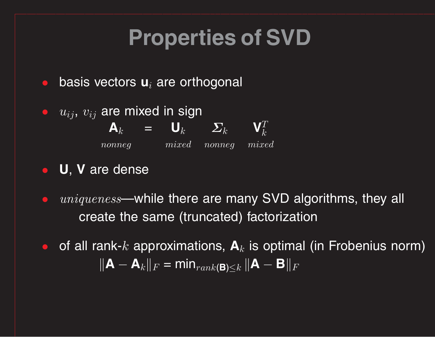### **Properties of SVD**

- $\bullet$ basis vectors **<sup>u</sup>***<sup>i</sup>* are orthogonal
- $\bullet$   $\,u_{ij},\,v_{ij}$  are mixed in sign  $\mathbf{A}_k$  =  $\mathbf{U}_k$   $\mathbf{\Sigma}_k$   $\mathbf{V}_k^T$ *k nonneg mixed nonneg mixed*
- **U**, **V** are dense
- $uniqueness$ —while there are many SVD algorithms, they all create the same (truncated) factorization
- $\bullet$  of all rank- $k$  approximations,  $\mathbf{A}_k$  is optimal (in Frobenius norm)  $\|\mathbf{A} - \mathbf{A}_k\|_F = \min_{rank(\mathbf{B}) \leq k} \|\mathbf{A} - \mathbf{B}\|_F$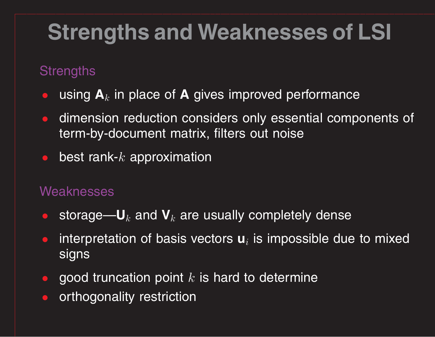### **Strengths and Weaknesses of LSI**

#### **Strengths**

- $\bullet$ **•** using  $A_k$  in place of A gives improved performance
- $\bullet$  dimension reduction considers only essential components of term-by-document matrix, filters out noise
- best rank-*k* approximation

#### Weaknesses

- $\bullet$ **•** storage—U $_k$  and V $_k$  are usually completely dense
- $\bullet$ **•** interpretation of basis vectors **u**<sub>*i*</sub> is impossible due to mixed signs
- $\bullet$ **•** good truncation point k is hard to determine
- $\bullet$ orthogonality restriction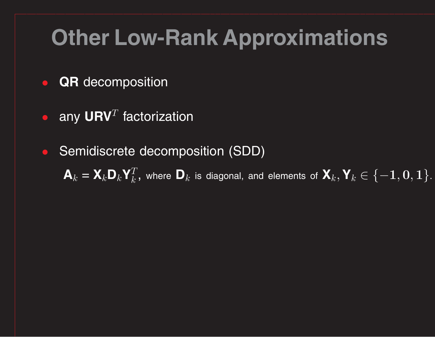### **Other Low-Rank Approximations**

- •**QR** decomposition
- $\bullet$  any URV<sup>T</sup> factorization
- Semidiscrete decomposition (SDD)

 $\mathsf{A}_k = \mathsf{X}_k \mathsf{D}_k \mathsf{Y}_k^T$ , where  $\mathsf{D}_k$  is diagonal, and elements of  $\mathsf{X}_k, \mathsf{Y}_k \in \{-1,0,1\}.$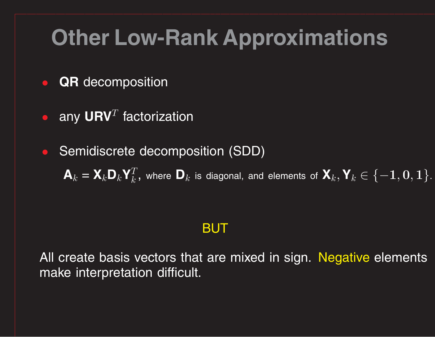### **Other Low-Rank Approximations**

- $\bullet$ **QR** decomposition
- $\bullet$  any URV<sup>T</sup> factorization
- Semidiscrete decomposition (SDD)  $\mathsf{A}_k = \mathsf{X}_k \mathsf{D}_k \mathsf{Y}_k^T$ , where  $\mathsf{D}_k$  is diagonal, and elements of  $\mathsf{X}_k, \mathsf{Y}_k \in \{-1,0,1\}.$

#### BUT

All create basis vectors that are mixed in sign. Negative elements make interpretation difficult.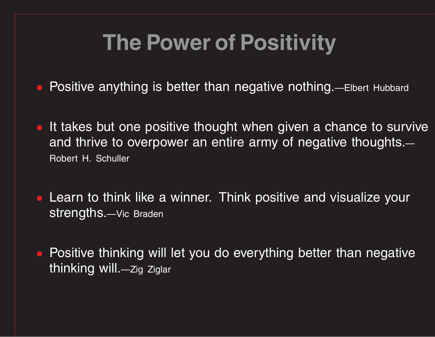### **The Power of Positivity**

- $\bullet$ Positive anything is better than negative nothing.—Elbert Hubbard
- It takes but one positive thought when given <sup>a</sup> chance to survive and thrive to overpower an entire army of negative thoughts. — Robert H. Schuller
- Learn to think like <sup>a</sup> winner. Think positive and visualize your strengths.—Vic Braden
- Positive thinking will let you do everything better than negative thinking will.—Zig Ziglar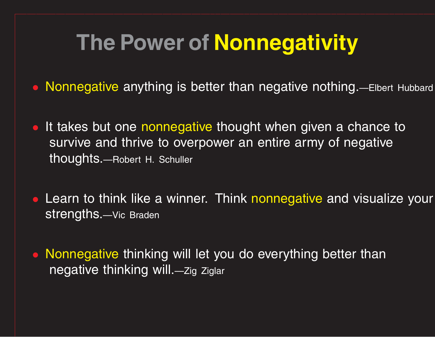### **The Power of Nonnegativity**

- Nonnegative anything is better than negative nothing.—Elbert Hubbard
- It takes but one nonnegative thought when given a chance to survive and thrive to overpower an entire army of negative thoughts.—Robert H. Schuller
- **Learn to think like a winner. Think nonnegative and visualize your** strengths.—Vic Braden
- Nonnegative thinking will let you do everything better than negative thinking will.—Zig Ziglar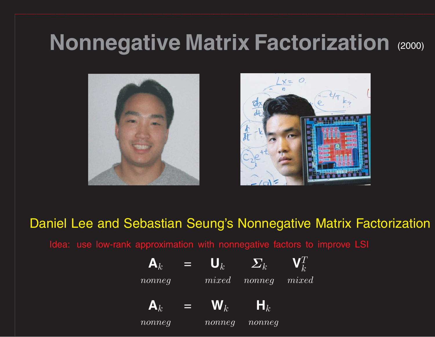### **Nonnegative Matrix Factorization** (2000)





*k*

Daniel Lee and Sebastian Seung's Nonnegative Matrix Factorization

Idea: use low-rank approximation with nonnegative factors to improve LSI

 $\mathbf{A}_k$  =  $\mathbf{U}_k$   $\mathbf{\Sigma}_k$  $\mathbf{V}^T$ 

*nonneg mixed nonneg mixed*

 $\mathbf{A}_k$  =  $\mathbf{W}_k$  $\bm{\mathsf{H}}_k$ 

*nonneg nonneg nonneg*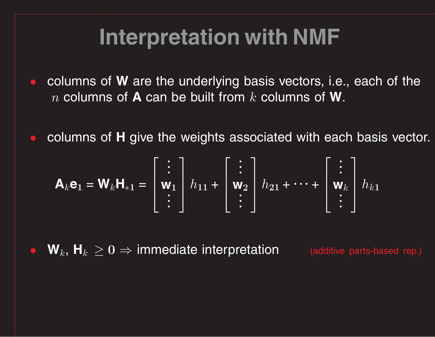### **Interpretation with NMF**

- $\bullet$ **•** columns of **W** are the underlying basis vectors, i.e., each of the *<sup>n</sup>* columns of **A** can be built from *k* columns of **W**.
- $\bullet$ **• columns of H** give the weights associated with each basis vector.

$$
\mathbf{A}_{k}\mathbf{e}_{1} = \mathbf{W}_{k}\mathbf{H}_{*1} = \begin{bmatrix} \vdots \\ \mathbf{w}_{1} \\ \vdots \end{bmatrix} h_{11} + \begin{bmatrix} \vdots \\ \mathbf{w}_{2} \\ \vdots \end{bmatrix} h_{21} + \cdots + \begin{bmatrix} \vdots \\ \mathbf{w}_{k} \\ \vdots \end{bmatrix} h_{k1}
$$

 $\bullet$  $\mathbf{W}_k$ ,  $\mathbf{H}_k \geq \mathbf{0} \Rightarrow \mathbf{immediate}$  interpretation (additive parts-based rep.)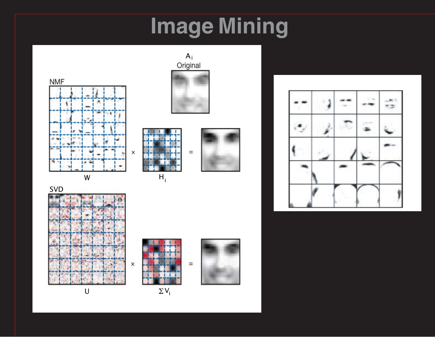### **Image Mining**









U



 $\Sigma$  V $_{\sf i}$ 

H i





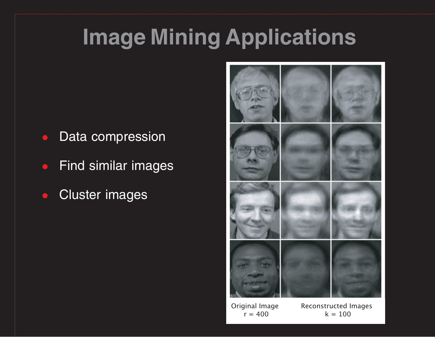### **Image Mining Applications**

- •Data compression
- •Find similar images
- $\bullet$ Cluster images



Original Image Reconstructed Images  $r = 400$  k = 100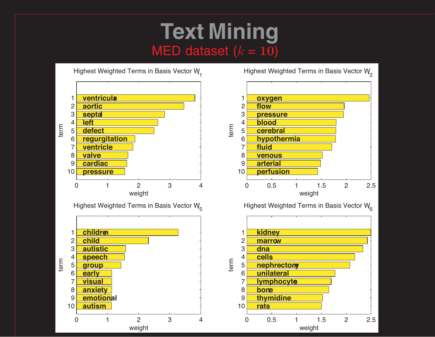### **Text Mining** MED dataset  $(k = 10)$



Highest Weighted Terms in Basis Vector  $W_{2}$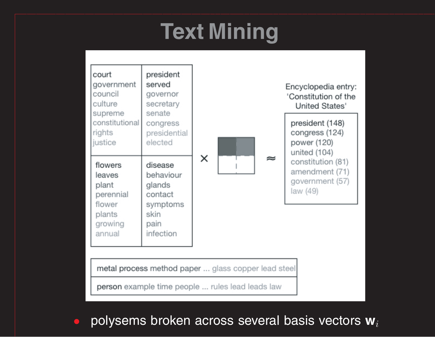### **Text Mining**



 $\bigcirc$ polysems broken across several basis vectors **<sup>w</sup>***<sup>i</sup>*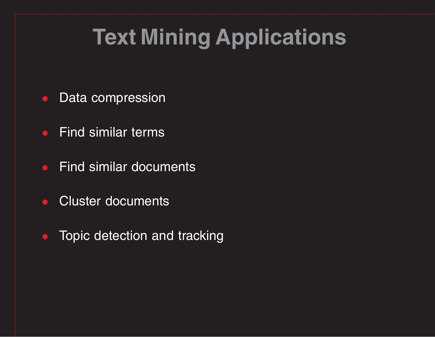### **Text Mining Applications**

- Data compression
- $\bullet$ Find similar terms
- $\bullet$ Find similar documents
- •Cluster documents
- Topic detection and tracking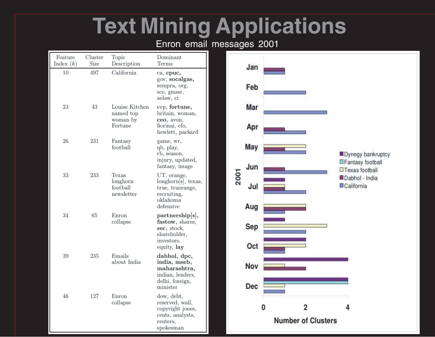### **Text Mining Applications**

#### Enron email messages 2001

| Feature<br>Index $(k)$ | Cluster<br>Size | Topic<br>Description                               | Dominant<br>Terms                                                                                                |      |  |            |   |                                                                 |                                       |   |
|------------------------|-----------------|----------------------------------------------------|------------------------------------------------------------------------------------------------------------------|------|--|------------|---|-----------------------------------------------------------------|---------------------------------------|---|
| $10\,$                 | 497             | California                                         | ca, cpuc,<br>gov, socalgas,<br>sempra, org,<br>sce, gmssr,<br>aelaw, ci                                          |      |  | Jan<br>Feb |   |                                                                 |                                       |   |
| $\,23$                 | 43              | Louise Kitchen<br>named top<br>woman by<br>Fortune | evp, fortune,<br>britain, woman,<br>ceo, avon,<br>fiorinai, cfo,<br>hewlett, packard                             |      |  | Mar<br>Apr |   |                                                                 |                                       |   |
| 26                     | 231             | Fantasy<br>football                                | game, wr,<br>qb, play,<br>rb, season,<br>injury, updated,                                                        | 2001 |  | May        |   |                                                                 | Dynegy bankruptcy<br>Fantasy football |   |
| 33                     | 233             | Texas<br>longhorn<br>football<br>newsletter        | fantasy, image<br>UT, orange,<br>longhorn[s], texas,<br>true, truorange,<br>recruiting,<br>oklahoma<br>defensive |      |  | Jun        |   | <b>OT</b> exas football<br>Dabhol - India<br><b>ECalifornia</b> |                                       |   |
|                        |                 |                                                    |                                                                                                                  |      |  | Jul<br>Aug |   |                                                                 |                                       |   |
| 34                     | 65              | Enron<br>collapse                                  | partnership[s],<br>fastow, shares,<br>sec, stock,<br>shareholder,<br>investors,                                  |      |  | Sep<br>Oct |   |                                                                 |                                       |   |
| 39                     | 235             | Emails<br>about India                              | equity, lay<br>dahhol, dpc,<br>india, mseb,<br>maharashtra,<br>indian, lenders,<br>delhi, foreign,<br>minister   |      |  | Nov<br>Dec |   |                                                                 |                                       |   |
| 46                     | 127             | Enron<br>collapse                                  | dow, debt,<br>reserved, wall,<br>copyright jones,<br>cents, analysts,<br>reuters,<br>spokesman                   |      |  |            | 0 | 2                                                               | <b>Number of Clusters</b>             | 4 |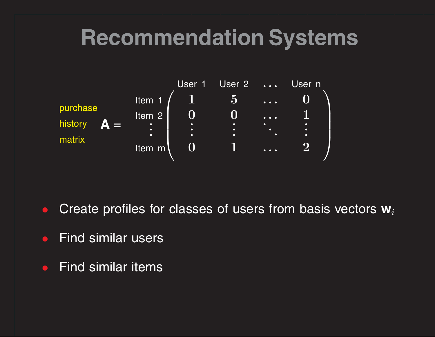### **Recommendation Systems**



- •Create profiles for classes of users from basis vectors **w***<sup>i</sup>*
- •Find similar users
- $\bullet$ Find similar items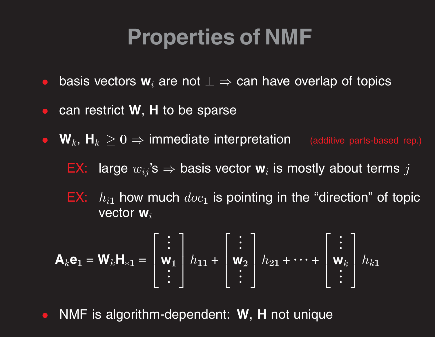### **Properties of NMF**

- $\bullet$ basis vectors **<sup>w</sup>***<sup>i</sup>* are not ⊥ <sup>⇒</sup> can have overlap of topics
- $\bullet$ **•** can restrict **W**, **H** to be sparse
- $W_k$ ,  $H_k \geq 0 \Rightarrow$  immediate interpretation (additive parts-based rep.)
	- EX:  $\,$  large  $w_{ij}$ 's  $\Rightarrow$  basis vector  $\mathbf{w}_i$  is mostly about terms  $j$
	- $\mathbf{E} \mathbf{X}$ :  $\ h_{i\mathbf{1}}$  how much  $doc_\mathbf{1}$  is pointing in the "direction" of topic vector **w***<sup>i</sup>*

$$
\mathbf{A}_k \mathbf{e}_1 = \mathbf{W}_k \mathbf{H}_{*1} = \begin{bmatrix} \vdots \\ \mathbf{w}_1 \\ \vdots \end{bmatrix} h_{11} + \begin{bmatrix} \vdots \\ \mathbf{w}_2 \\ \vdots \end{bmatrix} h_{21} + \dots + \begin{bmatrix} \vdots \\ \mathbf{w}_k \\ \vdots \end{bmatrix} h_{k1}
$$

 $\bullet$ NMF is algorithm-dependent: **W**, **H** not unique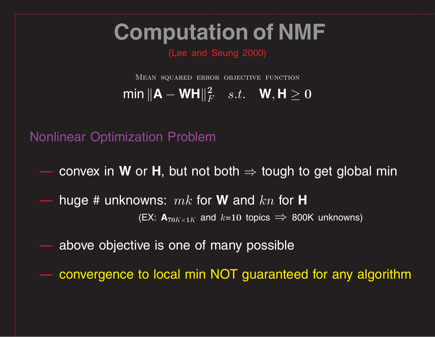### **Computation of NMF**

(Lee and Seung 2000)

Mean squared error objective function  $\textbf{min}\left\Vert \mathbf{A}-\mathbf{W}\mathbf{H} \right\Vert_F^2 \quad s.t. \quad \mathbf{W}, \mathbf{H} \geq 0$ 

Nonlinear Optimization Problem

 $-$  convex in **W** or **H**, but not both  $\Rightarrow$  tough to get global min

 huge # unknowns: *mk* for **W** and *kn* for **H** (EX:  $\mathbf{A}_{70K\times1K}$  and  $k\texttt{=}10$  topics  $\implies$  800K unknowns)

above objective is one of many possible

convergence to local min NOT guaranteed for any algorithm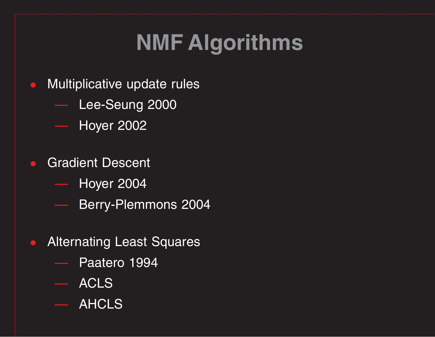### **NMF Algorithms**

- Multiplicative update rules
	- Lee-Seung 2000
	- Hoyer 2002
- $\bullet$ **Gradient Descent** 
	- Hoyer 2004
	- Berry-Plemmons 2004
- $\bullet$  Alternating Least Squares
	- Paatero 1994
	- ACLS
	- AHCLS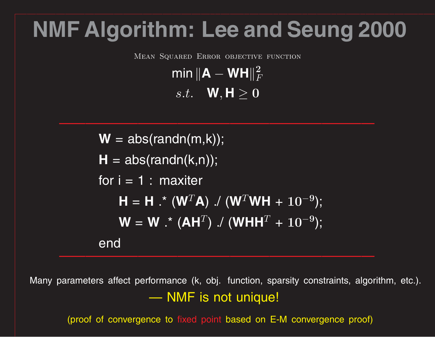### **NMF Algorithm: Lee and Seung 2000**

Mean Squared Error objective function

 $\textsf{min}\,\|\mathbf{A}-\mathbf{W}\mathbf{H}\|_F^2$ *F*

 $s.t.$  **W**,  $\textbf{H} \geq 0$ 

 $\overline{W}$  = abs(randn(m,k));  $H = abs(randn(k,n));$ for  $i = 1$  : maxiter  $\mathbf{H} = \mathbf{H}$  .\* (W<sup>T</sup>A) ./ (W<sup>T</sup>WH + 10<sup>-</sup> **9**);  $\mathbf{W} = \mathbf{W}$  .\* (AH $^T$ ) ./ (WHH $^T$  +  $10^{-7}$ **9**); end

Many parameters affect performance (k, obj. function, sparsity constraints, algorithm, etc.). <u>——————————</u> NMF is not unique!

(proof of convergence to fixed point based on E-M convergence proof)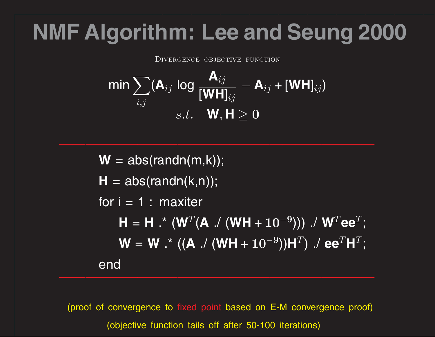### **NMF Algorithm: Lee and Seung 2000**

DIVERGENCE OBJECTIVE FUNCTION

$$
\min \sum_{i,j} (\mathbf{A}_{ij} \log \frac{\mathbf{A}_{ij}}{[\mathbf{WH}]_{ij}} - \mathbf{A}_{ij} + [\mathbf{WH}]_{ij})
$$
  
s.t.  $\mathbf{W}, \mathbf{H} \geq 0$ 

 $W = abs(randn(m,k));$  $H = abs(randn(k,n));$ for  $i = 1$  : maxiter  $H = H : (W^T(A) / (WH + 10^{-10}))$ **<sup>9</sup>**))) ./ **W** *<sup>T</sup>* **ee** *T* ; **W** = **W** .\* (( **A** ./ (**WH** + **10** −  $^{9}$ ))H $^{T}$ )  $\ldots$  ee $^{T}$ H $^{T}$ ; end

(proof of convergence to fixed point based on E-M convergence proof) (objective function tails off after 50-100 iterations)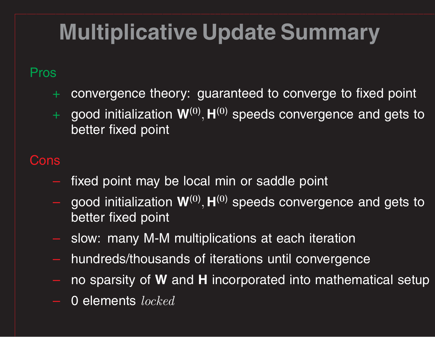## **Multiplicative Update Summary**

#### Pros

- <sup>+</sup> convergence theory: guaranteed to converge to fixed point
- <sup>+</sup> good initialization **W**(**0**) *,* **<sup>H</sup>**(**0**) speeds convergence and gets to better fixed point

#### Cons

- fixed point may be local min or saddle point
- good initialization **W**(**0**) *,* **<sup>H</sup>**(**0**) speeds convergence and gets to better fixed point
- slow: many M-M multiplications at each iteration
- hundreds/thousands of iterations until convergence
- no sparsity of **W** and **H** incorporated into mathematical setup
- **0 elements** *locked*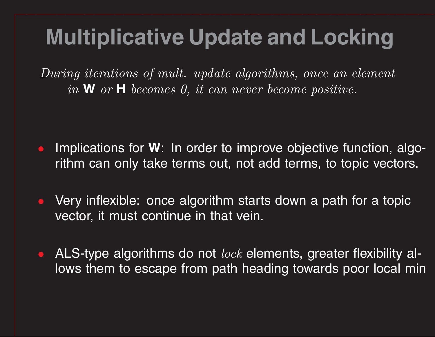### **Multiplicative Update and Locking**

During iterations of mult. update algorithms, once an element in **W** or **H** becomes 0, it can never become positive.

- $\bullet$ **•** Implications for **W**: In order to improve objective function, algorithm can only take terms out, not add terms, to topic vectors.
- Very inflexible: once algorithm starts down <sup>a</sup> path for <sup>a</sup> topic vector, it must continue in that vein.
- ALS-type algorithms do not  $lock$  elements, greater flexibility allows them to escape from path heading towards poor local min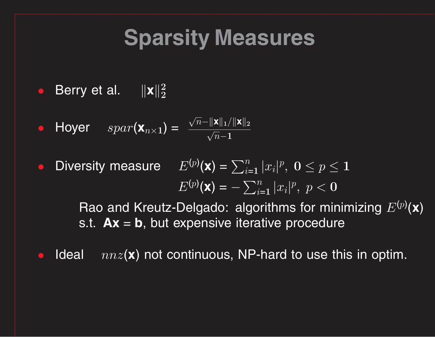### **Sparsity Measures**

 $\bullet$ Berry et al.  $\|\mathbf{x}\|_2^2$ **2**

$$
\bullet \quad \text{Hyper} \quad \text{spar}(\mathbf{x}_{n\times 1}) = \frac{\sqrt{n} - \|\mathbf{x}\|_1 / \|\mathbf{x}\|_2}{\sqrt{n} - 1}
$$

 $\bullet$ • Diversity measure  $E^{(p)}(\mathbf{x}) = \sum_{i=1}^n E^{(p)}(\mathbf{x})$  $\sum\limits_{i=1}^n |x_i|^p, \,\, \mathbf{0} \leq p \leq \mathbf{1}$  $E^{(p)}(\mathbf{x}) =$  $-\sum_{i=1}^n$  $\sum\limits_{i=1}^n |x_i|^p, \,\, p < 0$ 

> Rao and Kreutz-Delgado: algorithms for minimizing  $E^{(p)}(\mathbf{x})$ s.t.  $\mathbf{Ax} = \mathbf{b}$ , but expensive iterative procedure

•**Ideal** ( **<sup>x</sup>**) not continuous, NP-hard to use this in optim.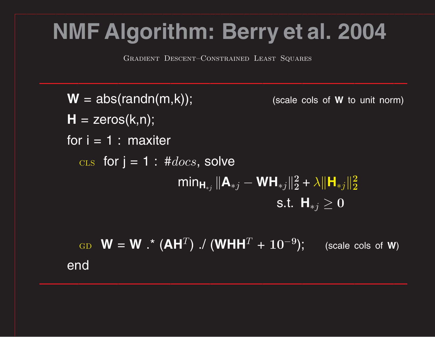### **NMF Algorithm: Berry et al. 2004**

Gradient Descent–Constrained Least Squares

 $W = abs(randn(m,k));$ (scale cols of **W** to unit norm)  $H = zeros(k, n);$ for  $i = 1$  : maxiter  $\text{CLS}$  for  $j = 1$  :  $\#docs$ , solve min  $\mathbf{H}_{*j} \, \| \mathbf{A}_{*j} - \mathbf{W} \mathbf{H}_{*j} \|_2^2$  $\frac{2}{2} + \lambda \|\mathsf{H}_{*j}\|_2^2$ **2**  $\mathsf{s.t.}\;\; \mathsf{H}_{\ast j} \geq 0$  $_{\rm GD}$   $\mathbf{W} = \mathbf{W}$  .\* (AH $^T$ ) ./ (WHH $^T$  +  $10^{-7}$ **<sup>9</sup>**); (scale cols of **W**) end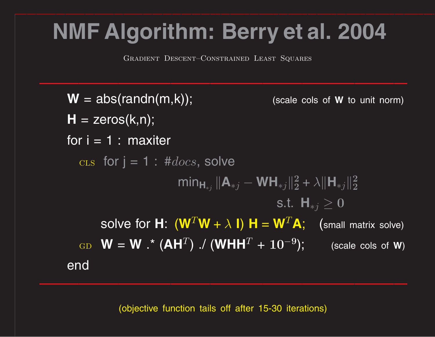### **NMF Algorithm: Berry et al. 2004**

Gradient Descent–Constrained Least Squares

 $W = abs(randn(m,k));$ (scale cols of **W** to unit norm)  $H = zeros(k, n);$ for  $i = 1$  : maxiter  $\text{CLS}$  for  $j = 1$  :  $\#docs$ , solve min  $\mathbf{H}_{*j} \, \| \mathbf{A}_{*j} - \mathbf{W} \mathbf{H}_{*j} \|_2^2$  $\frac{2}{2} + \lambda \|\mathsf{H}_{*j}\|_2^2$ **2**  $\mathsf{s.t.}\;\; \mathsf{H}_{\ast j} \geq 0$ SOIVE for  $\boldsymbol{\mathsf{H}}\colon(\boldsymbol{\mathsf{W}}^T\boldsymbol{\mathsf{W}}+\lambda\;\boldsymbol{\mathsf{I}})\;\boldsymbol{\mathsf{H}}=\boldsymbol{\mathsf{W}}^T\boldsymbol{\mathsf{A}};\quad\text{(small matrix solve)}$  $_{\rm GD}$   $\mathbf{W} = \mathbf{W}$  .\* (AH $^T$ ) ./ (WHH $^T$  +  $10^{-7}$ **<sup>9</sup>**); (scale cols of **W**) end

(objective function tails off after 15-30 iterations)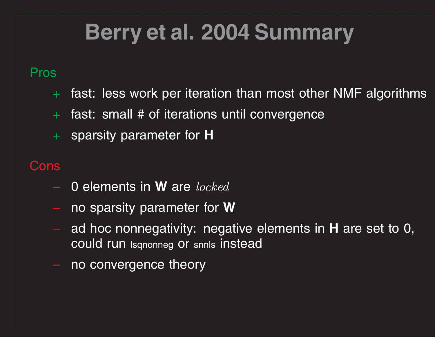### **Berry et al. 2004 Summary**

#### Pros

- <sup>+</sup> fast: less work per iteration than most other NMF algorithms
- <sup>+</sup> fast: small # of iterations until convergence
- <sup>+</sup> sparsity parameter for **H**

#### Cons

- 0 elements in **W** are locked
- no sparsity parameter for **W**
- ad hoc nonnegativity: negative elements in **H** are set to 0, could run lsqnonneg or snnls instead
- no convergence theory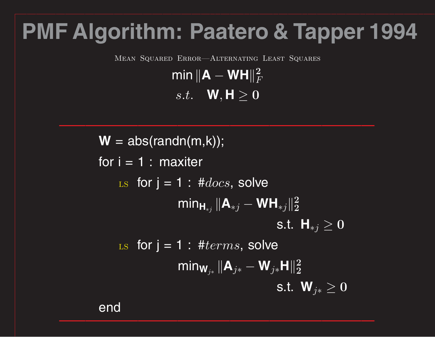### **PMF Algorithm: Paatero & Tapper 1994**

Mean Squared Error—Alternating Least Squares

 $\textsf{min}\,\|\mathbf{A}-\mathbf{W}\mathbf{H}\|_F^2$ *F*  $s.t.$  **W**,  $\textbf{H} \geq 0$ 

 $\overline{W}$  = abs(randn(m,k)); for  $i = 1$  : maxiter LS for  $j = 1$  : # $docs$ , solve min  $\mathbf{H}_{*j} \, \| \mathbf{A}_{*j} - \mathbf{W} \mathbf{H}_{*j} \|_2^2$ **2** s.t.  $\textbf{H}_{*j} \geq 0$ Ls for  $j = 1$  : #*terms*, solve min $\mathsf{w}_{\scriptscriptstyle{j*}}$   $\|\mathsf{A}_{\scriptscriptstyle{j*}}$  $-\mathbf{W}_{j\ast}\mathbf{H}\|_2^2$ **2** s.t.  $\mathbf{W}_{j\ast} \geq 0$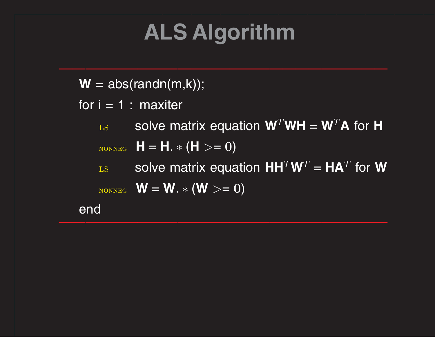## **ALS Algorithm**

 $W = abs(randn(m,k));$ 

- for  $i = 1$  : maxiter
	- $_{\text{LSS}}$  solve matrix equation  $\mathbf{W}^T \mathbf{W} \mathbf{H} = \mathbf{W}^T \mathbf{A}$  for **H**
	- $_{\text{\tiny{NONNEG}}}$   $\bm{\mathsf{H}} = \bm{\mathsf{H}}$ .  $\ast$   $(\bm{\mathsf{H}} >= 0)$
	- $_{\text{LSS}}$  solve matrix equation  $\mathbf{H}\mathbf{H}^T\mathbf{W}^T = \mathbf{H}\mathbf{A}^T$  for  $\mathbf{W}$  $_{\text{\tiny{NONNEG}}}$   $\mathsf{W} = \mathsf{W}$ .  $\ast$   $(\mathsf{W} >= 0)$

end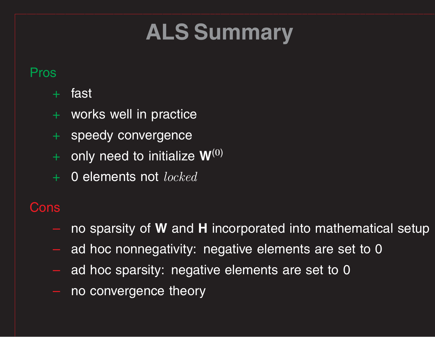## **ALS Summary**

#### Pros

- $\left\vert +\right\rangle$  fast $\left\vert$
- <sup>+</sup> works well in practice
- <sup>+</sup> speedy convergence
- <sup>+</sup> only need to initialize **<sup>W</sup>**(**0**)
- $+$  0 elements not  $locked$

#### Cons

- no sparsity of **W** and **H** incorporated into mathematical setup
- ad hoc nonnegativity: negative elements are set to 0
- ad hoc sparsity: negative elements are set to 0
- no convergence theory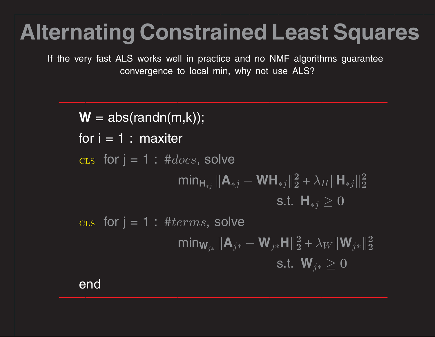### **Alternating Constrained Least Squares**

If the very fast ALS works well in practice and no NMF algorithms guarantee convergence to local min, why not use ALS?

 $W = abs(randn(m,k));$ for  $i = 1$  : maxiter  $\text{CLS}$  for  $j = 1$  :  $\#docs$ , solve min  $\mathbf{H}_{*j} \, \| \mathbf{A}_{*j} - \mathbf{W} \mathbf{H}_{*j} \|_2^2$  $\frac{2}{2} + \lambda_H \|\mathsf{H}_{*j}\|_2^2$ **2** s.t.  $\mathsf{H}_{*j} \geq 0$  $\text{cis}$  for  $i = 1$  : #*terms*, solve min $\mathsf{w}_{\scriptscriptstyle{j*}}$   $\|\mathsf{A}_{\scriptscriptstyle{j*}}$  $-\mathbf{W}_{j\ast}\mathbf{H}\|_2^2$  $\frac{2}{2} + \lambda_W \|\mathbf{W}_{j\ast}\|_2^2$ **2** s.t.  $\mathbf{W}_{j\ast} \geq 0$ 

end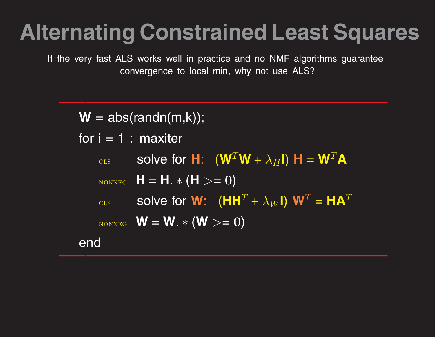### **Alternating Constrained Least Squares**

If the very fast ALS works well in practice and no NMF algorithms guarantee convergence to local min, why not use ALS?

 $W = abs(randn(m,k));$ for  $i = 1$  : maxiter  $_{\text{CLS}}$  solve for **H**:  $(\mathbf{W}^T\mathbf{W} + \lambda_H\mathbf{I})$  **H** =  $\mathbf{W}^T\mathbf{A}$  $_{\text{\tiny{NONNEG}}}$   $\bm{\mathsf{H}} = \bm{\mathsf{H}}$ .  $\ast$   $(\bm{\mathsf{H}} >= 0)$  $_{\textrm{\tiny{CLS}}}$  solve for **W**: (HH $^{T}$  $+ \; \lambda_W$ l) W $^T = \textbf{HA}^T$  $_{\text{\tiny{NONNEG}}}$   $\mathsf{W} = \mathsf{W}$ .  $\ast$   $(\mathsf{W} >= 0)$ end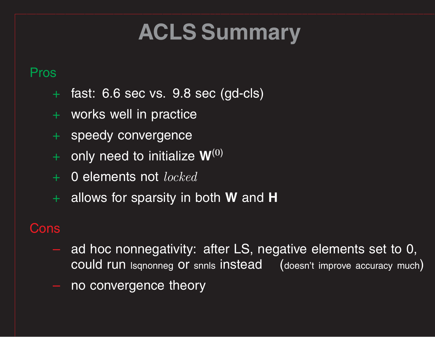## **ACLS Summary**

#### Pros

- <sup>+</sup> fast: 6.6 sec vs. 9.8 sec (gd-cls)
- <sup>+</sup> works well in practice
- <sup>+</sup> speedy convergence
- <sup>+</sup> only need to initialize **<sup>W</sup>**(**0**)
- + 0 elements not *locked*
- <sup>+</sup> allows for sparsity in both **W** and **H**

#### **Cons**

- ad hoc nonnegativity: after LS, negative elements set to 0, could run Isqnonneg Or snnls instead (doesn't improve accuracy much)
- no convergence theory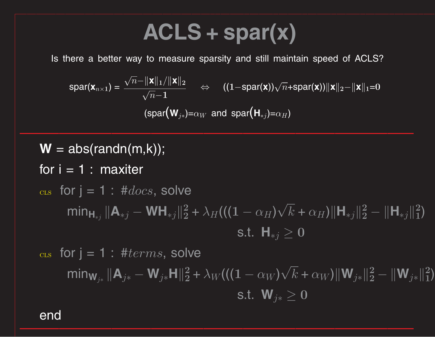### **ACLS <sup>+</sup> spar(x)**

Is there <sup>a</sup> better way to measure sparsity and still maintain speed of ACLS?

 $\text{span}(\mathbf{x}_{n\times1}) = \frac{\sqrt{n-||\mathbf{x}||_1/||\mathbf{x}||_2}}{\sqrt{n}-1}$   $\Leftrightarrow$   $((1-\text{spar}(\mathbf{x}))\sqrt{n}+\text{spar}(\mathbf{x}))||\mathbf{x}||_2-||\mathbf{x}||_1=0$  $(\textsf{spar}(\mathbf{W}_{j*})=\alpha_W$  and  $\textsf{spar}(\mathbf{H}_{*j})=\alpha_H)$ 

 $W = abs(randn(m,k));$ for  $i = 1$  : maxiter  $_{\rm cts}$  for  $j = 1$  :  $\#docs$ , solve  $\min_{\mathbf{H}_{*j}} ||\mathbf{A}_{*j} - \mathbf{W}\mathbf{H}_{*j}||_2^2 + \lambda_H((1 - \alpha_H)\sqrt{k} + \alpha_H)||\mathbf{H}_{*j}||_2^2 - ||\mathbf{H}_{*j}||_1^2$ s.t.  $H_{*j}$  ≥ 0  $_{\rm cts}$  for  $j = 1$  :  $\#terms$ , solve  $\min_{\mathbf{W}_{j*}} ||\mathbf{A}_{j*} - \mathbf{W}_{j*} \mathbf{H}||_2^2 + \lambda_W ((\mathbf{(1} - \alpha_W)\sqrt{k} + \alpha_W) ||\mathbf{W}_{j*}||_2^2 - ||\mathbf{W}_{j*}||_1^2)$ 

S.t.  $W_{i*} ≥ 0$ 

end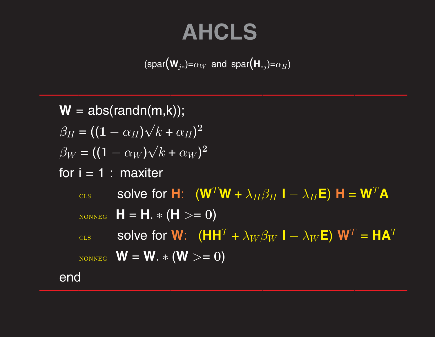### **AHCLS**

$$
(\text{spar}\big(\mathbf{W}_{j*})=\alpha_W \text{ and } \text{spar}\big(\mathbf{H}_{*j})=\alpha_H)
$$

```
W = abs(randn(m,k));\overline{\beta_H} = ((1 - \alpha_H)\sqrt{k} + \alpha_H)^2\beta_W = ((1 - \alpha_W)\sqrt{k} + \alpha_W)^2for i = 1 : maxiter
     cls solve for H: (W^T W + \lambda_H \beta_H I - \lambda_H E) H = W^T AN \sim N \sim N \sim N \sim N \sim N \sim \sim N\epsilon_{\text{CLS}} solve for W: (HH<sup>T</sup> + \lambda_W \beta_W I - \lambda_WE) W<sup>T</sup> = HA<sup>T</sup>
     N \sim N \sim W = W. * (W > = 0)end
```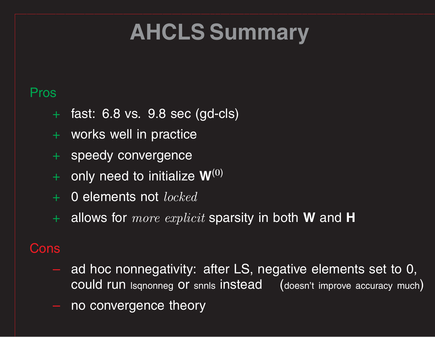### **AHCLS Summary**

#### Pros

- <sup>+</sup> fast: 6.8 vs. 9.8 sec (gd-cls)
- <sup>+</sup> works well in practice
- + speedy convergence
- <sup>+</sup> only need to initialize **W**(**0**)
- <sup>+</sup> 0 elements not locked
- <sup>+</sup> allows for more explicit sparsity in both **W** and **H**

#### Cons

- ad hoc nonnegativity: after LS, negative elements set to 0, could run lsqnonneg or snnls instead (doesn't improve accuracy much )
- no convergence theory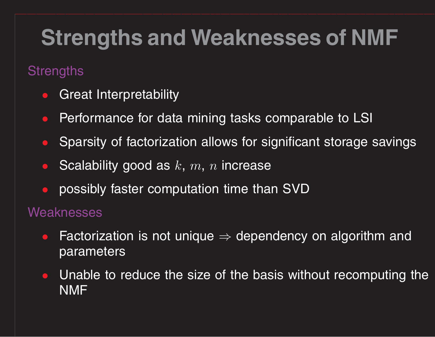### **Strengths and Weaknesses of NMF**

#### **Strengths**

- $\bullet$ Great Interpretability
- $\bullet$ Performance for data mining tasks comparable to LSI
- $\bullet$ Sparsity of factorization allows for significant storage savings
- $\bullet$ Scalability good as *k*, *<sup>m</sup>*, *<sup>n</sup>* increase
- $\bullet$ possibly faster computation time than SVD

#### **Weaknesses**

- $\bullet$ • Factorization is not unique  $\Rightarrow$  dependency on algorithm and parameters
- $\bullet$  Unable to reduce the size of the basis without recomputing the NMF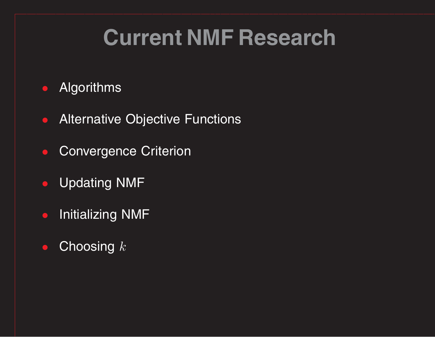### **Current NMF Research**

#### Algorithms

- •Alternative Objective Functions
- Convergence Criterion
- Updating NMF
- Initializing NMF
- Choosing *k*